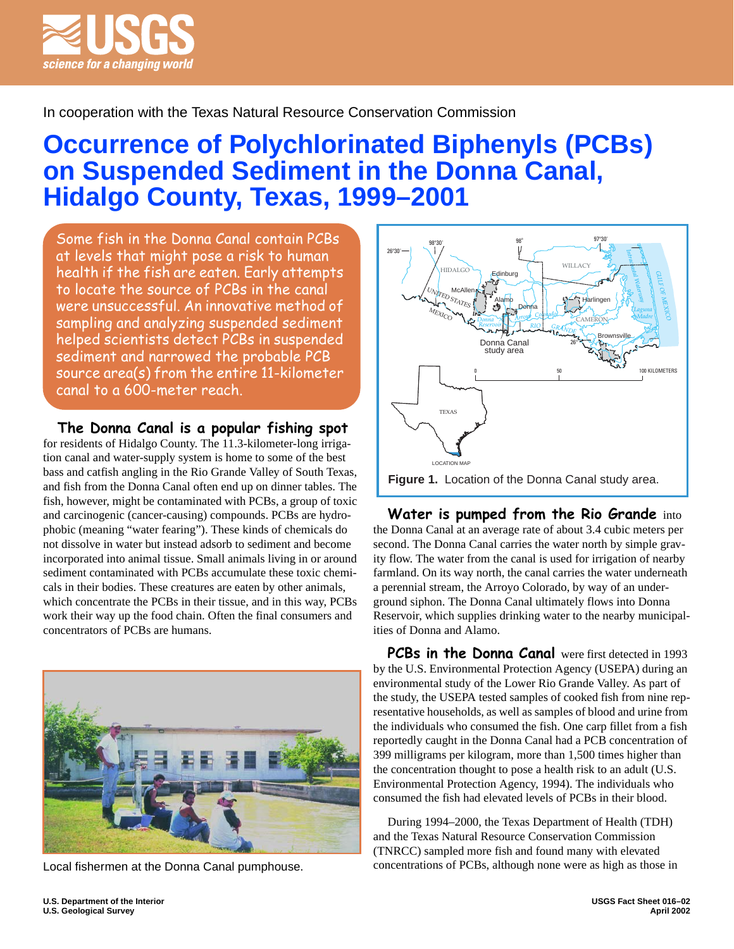

# In cooperation with the Texas Natural Resource Conservation Commission

# **Occurrence of Polychlorinated Biphenyls (PCBs) on Suspended Sediment in the Donna Canal, Hidalgo County, Texas, 1999–2001**

Some fish in the Donna Canal contain PCBs at levels that might pose a risk to human health if the fish are eaten. Early attempts to locate the source of PCBs in the canal were unsuccessful. An innovative method of sampling and analyzing suspended sediment helped scientists detect PCBs in suspended sediment and narrowed the probable PCB source area(s) from the entire 11-kilometer canal to a 600-meter reach.

**The Donna Canal is a popular fishing spot** 

for residents of Hidalgo County. The 11.3-kilometer-long irrigation canal and water-supply system is home to some of the best bass and catfish angling in the Rio Grande Valley of South Texas, and fish from the Donna Canal often end up on dinner tables. The fish, however, might be contaminated with PCBs, a group of toxic and carcinogenic (cancer-causing) compounds. PCBs are hydrophobic (meaning "water fearing"). These kinds of chemicals do not dissolve in water but instead adsorb to sediment and become incorporated into animal tissue. Small animals living in or around sediment contaminated with PCBs accumulate these toxic chemicals in their bodies. These creatures are eaten by other animals, which concentrate the PCBs in their tissue, and in this way, PCBs work their way up the food chain. Often the final consumers and concentrators of PCBs are humans.



Local fishermen at the Donna Canal pumphouse.



**Water is pumped from the Rio Grande** into the Donna Canal at an average rate of about 3.4 cubic meters per second. The Donna Canal carries the water north by simple gravity flow. The water from the canal is used for irrigation of nearby farmland. On its way north, the canal carries the water underneath a perennial stream, the Arroyo Colorado, by way of an underground siphon. The Donna Canal ultimately flows into Donna Reservoir, which supplies drinking water to the nearby municipalities of Donna and Alamo.

**PCBs in the Donna Canal** were first detected in 1993 by the U.S. Environmental Protection Agency (USEPA) during an environmental study of the Lower Rio Grande Valley. As part of the study, the USEPA tested samples of cooked fish from nine representative households, as well as samples of blood and urine from the individuals who consumed the fish. One carp fillet from a fish reportedly caught in the Donna Canal had a PCB concentration of 399 milligrams per kilogram, more than 1,500 times higher than the concentration thought to pose a health risk to an adult (U.S. Environmental Protection Agency, 1994). The individuals who consumed the fish had elevated levels of PCBs in their blood.

During 1994–2000, the Texas Department of Health (TDH) and the Texas Natural Resource Conservation Commission (TNRCC) sampled more fish and found many with elevated concentrations of PCBs, although none were as high as those in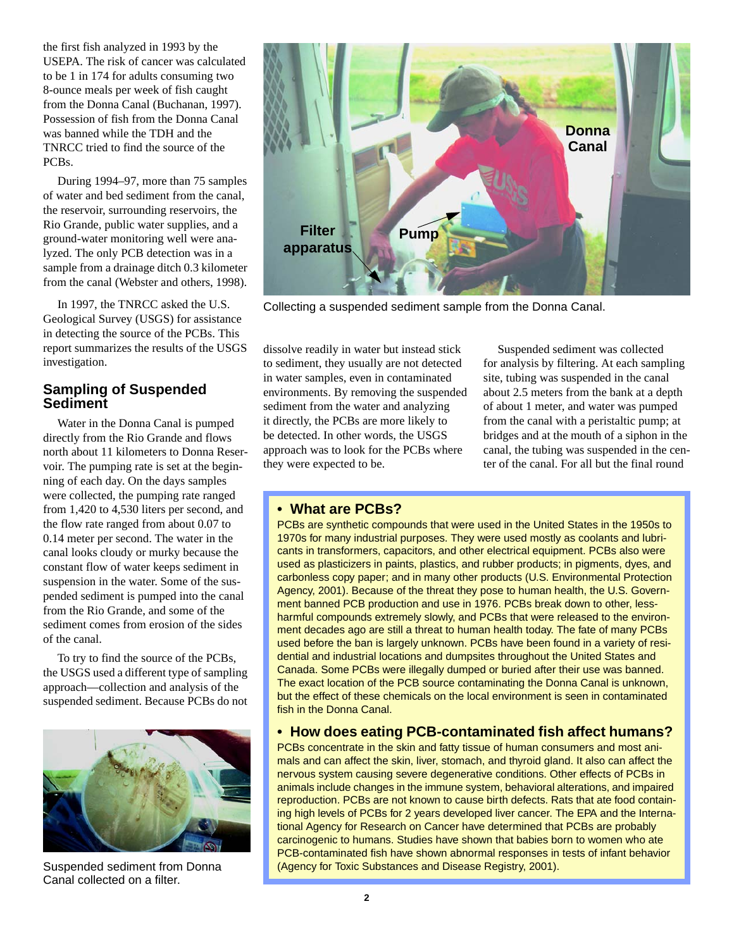the first fish analyzed in 1993 by the USEPA. The risk of cancer was calculated to be 1 in 174 for adults consuming two 8-ounce meals per week of fish caught from the Donna Canal (Buchanan, 1997). Possession of fish from the Donna Canal was banned while the TDH and the TNRCC tried to find the source of the PCBs.

During 1994–97, more than 75 samples of water and bed sediment from the canal, the reservoir, surrounding reservoirs, the Rio Grande, public water supplies, and a ground-water monitoring well were analyzed. The only PCB detection was in a sample from a drainage ditch 0.3 kilometer from the canal (Webster and others, 1998).

In 1997, the TNRCC asked the U.S. Geological Survey (USGS) for assistance in detecting the source of the PCBs. This report summarizes the results of the USGS investigation.

## **Sampling of Suspended Sediment**

Water in the Donna Canal is pumped directly from the Rio Grande and flows north about 11 kilometers to Donna Reservoir. The pumping rate is set at the beginning of each day. On the days samples were collected, the pumping rate ranged from 1,420 to 4,530 liters per second, and the flow rate ranged from about 0.07 to 0.14 meter per second. The water in the canal looks cloudy or murky because the constant flow of water keeps sediment in suspension in the water. Some of the suspended sediment is pumped into the canal from the Rio Grande, and some of the sediment comes from erosion of the sides of the canal.

To try to find the source of the PCBs, the USGS used a different type of sampling approach—collection and analysis of the suspended sediment. Because PCBs do not



Canal collected on a filter.



Collecting a suspended sediment sample from the Donna Canal.

dissolve readily in water but instead stick to sediment, they usually are not detected in water samples, even in contaminated environments. By removing the suspended sediment from the water and analyzing it directly, the PCBs are more likely to be detected. In other words, the USGS approach was to look for the PCBs where they were expected to be.

Suspended sediment was collected for analysis by filtering. At each sampling site, tubing was suspended in the canal about 2.5 meters from the bank at a depth of about 1 meter, and water was pumped from the canal with a peristaltic pump; at bridges and at the mouth of a siphon in the canal, the tubing was suspended in the center of the canal. For all but the final round

## **• What are PCBs?**

PCBs are synthetic compounds that were used in the United States in the 1950s to 1970s for many industrial purposes. They were used mostly as coolants and lubricants in transformers, capacitors, and other electrical equipment. PCBs also were used as plasticizers in paints, plastics, and rubber products; in pigments, dyes, and carbonless copy paper; and in many other products (U.S. Environmental Protection Agency, 2001). Because of the threat they pose to human health, the U.S. Government banned PCB production and use in 1976. PCBs break down to other, lessharmful compounds extremely slowly, and PCBs that were released to the environment decades ago are still a threat to human health today. The fate of many PCBs used before the ban is largely unknown. PCBs have been found in a variety of residential and industrial locations and dumpsites throughout the United States and Canada. Some PCBs were illegally dumped or buried after their use was banned. The exact location of the PCB source contaminating the Donna Canal is unknown, but the effect of these chemicals on the local environment is seen in contaminated fish in the Donna Canal.

## **• How does eating PCB-contaminated fish affect humans?**

PCBs concentrate in the skin and fatty tissue of human consumers and most animals and can affect the skin, liver, stomach, and thyroid gland. It also can affect the nervous system causing severe degenerative conditions. Other effects of PCBs in animals include changes in the immune system, behavioral alterations, and impaired reproduction. PCBs are not known to cause birth defects. Rats that ate food containing high levels of PCBs for 2 years developed liver cancer. The EPA and the International Agency for Research on Cancer have determined that PCBs are probably carcinogenic to humans. Studies have shown that babies born to women who ate PCB-contaminated fish have shown abnormal responses in tests of infant behavior Suspended sediment from Donna (Agency for Toxic Substances and Disease Registry, 2001).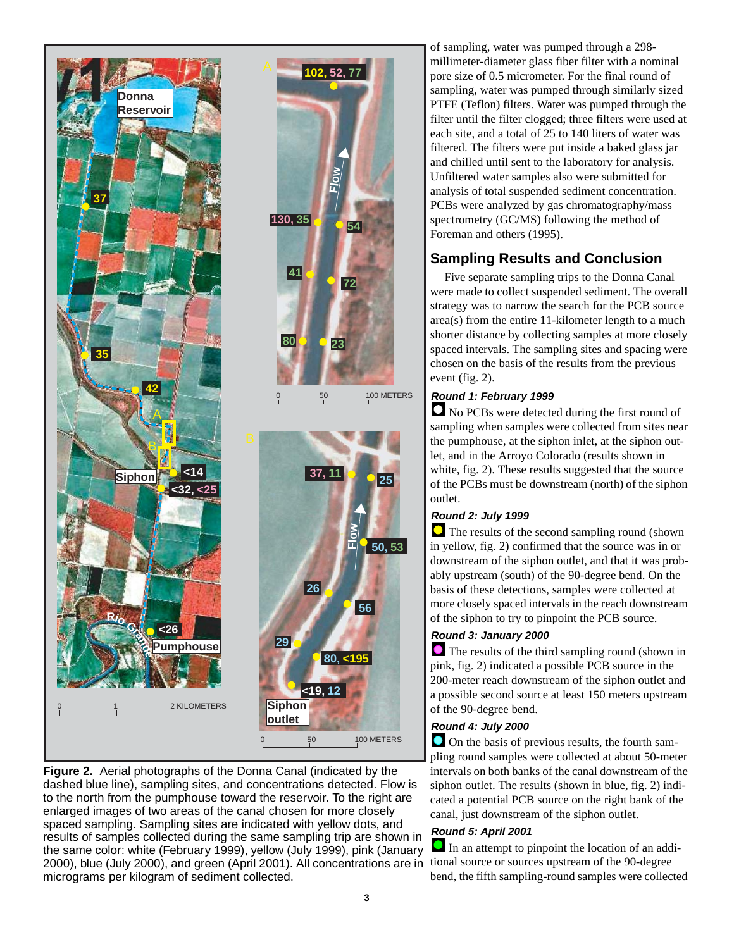



of sampling, water was pumped through a 298 millimeter-diameter glass fiber filter with a nominal pore size of 0.5 micrometer. For the final round of sampling, water was pumped through similarly sized PTFE (Teflon) filters. Water was pumped through the filter until the filter clogged; three filters were used at each site, and a total of 25 to 140 liters of water was filtered. The filters were put inside a baked glass jar and chilled until sent to the laboratory for analysis. Unfiltered water samples also were submitted for analysis of total suspended sediment concentration. PCBs were analyzed by gas chromatography/mass spectrometry (GC/MS) following the method of Foreman and others (1995).

# **Sampling Results and Conclusion**

Five separate sampling trips to the Donna Canal were made to collect suspended sediment. The overall strategy was to narrow the search for the PCB source area(s) from the entire 11-kilometer length to a much shorter distance by collecting samples at more closely spaced intervals. The sampling sites and spacing were chosen on the basis of the results from the previous event (fig. 2).

## **Round 1: February 1999**

 No PCBs were detected during the first round of sampling when samples were collected from sites near the pumphouse, at the siphon inlet, at the siphon outlet, and in the Arroyo Colorado (results shown in white, fig. 2). These results suggested that the source of the PCBs must be downstream (north) of the siphon outlet.

#### **Round 2: July 1999**

 The results of the second sampling round (shown in yellow, fig. 2) confirmed that the source was in or downstream of the siphon outlet, and that it was probably upstream (south) of the 90-degree bend. On the basis of these detections, samples were collected at more closely spaced intervals in the reach downstream of the siphon to try to pinpoint the PCB source.

#### **Round 3: January 2000**

 The results of the third sampling round (shown in pink, fig. 2) indicated a possible PCB source in the 200-meter reach downstream of the siphon outlet and a possible second source at least 150 meters upstream of the 90-degree bend.

#### **Round 4: July 2000**

 On the basis of previous results, the fourth sampling round samples were collected at about 50-meter intervals on both banks of the canal downstream of the siphon outlet. The results (shown in blue, fig. 2) indicated a potential PCB source on the right bank of the canal, just downstream of the siphon outlet.

#### **Round 5: April 2001**

In an attempt to pinpoint the location of an addibend, the fifth sampling-round samples were collected

**80, <195**

**56**

**Flow**

**50, 53**

**25**

0 50 100 METERS

**72**

**Flow**